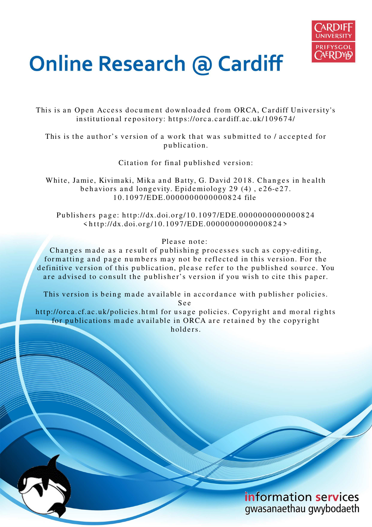

## **Online Research @ Cardiff**

This is an Open Access document downloaded from ORCA, Cardiff University's institutional repository: https://orca.cardiff.ac.uk/109674/

This is the author's version of a work that was submitted to / accepted for p u blication.

Citation for final published version:

White, Jamie, Kivimaki, Mika and Batty, G. David 2018. Changes in health behaviors and longevity. Epidemiology 29 (4), e26-e27. 1 0.1 0 9 7/EDE.000 0 0 0 0 0 0 0 0 0 0 8 2 4 file

Publishers page: http://dx.doi.org/10.1097/EDE.0000000000000824  $\langle$ http://dx.doi.org/10.1097/EDE.0000000000000824>

Please note:

Changes made as a result of publishing processes such as copy-editing, formatting and page numbers may not be reflected in this version. For the definitive version of this publication, please refer to the published source. You are advised to consult the publisher's version if you wish to cite this paper.

This version is being made available in accordance with publisher policies.

S e e

http://orca.cf.ac.uk/policies.html for usage policies. Copyright and moral rights for publications made available in ORCA are retained by the copyright holders.

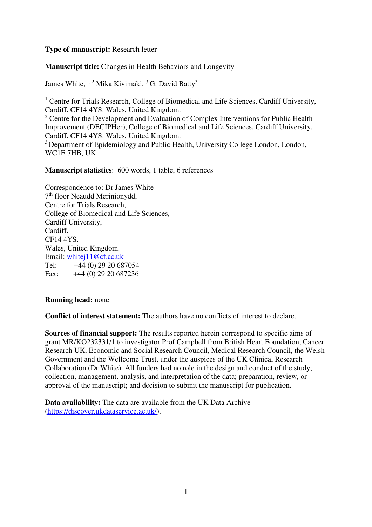## **Type of manuscript:** Research letter

**Manuscript title:** Changes in Health Behaviors and Longevity

James White, <sup>1, 2</sup> Mika Kivimäki, <sup>3</sup> G. David Batty<sup>3</sup>

<sup>1</sup> Centre for Trials Research, College of Biomedical and Life Sciences, Cardiff University, Cardiff. CF14 4YS. Wales, United Kingdom.  $2^2$  Centre for the Development and Evaluation of Complex Interventions for Public Health Improvement (DECIPHer), College of Biomedical and Life Sciences, Cardiff University, Cardiff. CF14 4YS. Wales, United Kingdom. <sup>3</sup> Department of Epidemiology and Public Health, University College London, London, WC1E 7HB, UK

**Manuscript statistics**: 600 words, 1 table, 6 references

Correspondence to: Dr James White 7 th floor Neaudd Merinionydd, Centre for Trials Research, College of Biomedical and Life Sciences, Cardiff University, Cardiff. CF14 4YS. Wales, United Kingdom. Email: [whitej11@cf.ac.uk](mailto:whitej11@cf.ac.uk)  Tel: +44 (0) 29 20 687054 Fax: +44 (0) 29 20 687236

**Running head:** none

**Conflict of interest statement:** The authors have no conflicts of interest to declare.

**Sources of financial support:** The results reported herein correspond to specific aims of grant MR/KO232331/1 to investigator Prof Campbell from British Heart Foundation, Cancer Research UK, Economic and Social Research Council, Medical Research Council, the Welsh Government and the Wellcome Trust, under the auspices of the UK Clinical Research Collaboration (Dr White). All funders had no role in the design and conduct of the study; collection, management, analysis, and interpretation of the data; preparation, review, or approval of the manuscript; and decision to submit the manuscript for publication.

**Data availability:** The data are available from the UK Data Archive [\(https://discover.ukdataservice.ac.uk/\)](https://discover.ukdataservice.ac.uk/).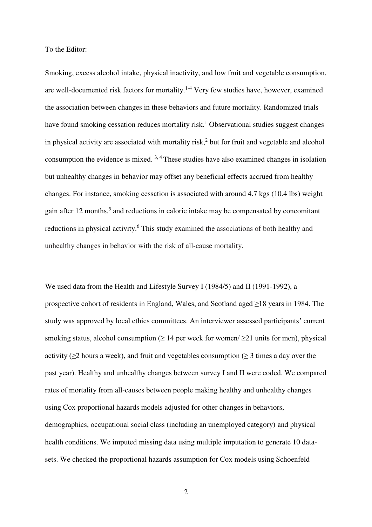To the Editor:

Smoking, excess alcohol intake, physical inactivity, and low fruit and vegetable consumption, are well-documented risk factors for mortality.<sup>1-4</sup> Very few studies have, however, examined the association between changes in these behaviors and future mortality. Randomized trials have found smoking cessation reduces mortality risk.<sup>1</sup> Observational studies suggest changes in physical activity are associated with mortality risk,<sup>2</sup> but for fruit and vegetable and alcohol consumption the evidence is mixed.  $3,4$  These studies have also examined changes in isolation but unhealthy changes in behavior may offset any beneficial effects accrued from healthy changes. For instance, smoking cessation is associated with around 4.7 kgs (10.4 lbs) weight gain after 12 months,<sup>5</sup> and reductions in caloric intake may be compensated by concomitant reductions in physical activity.<sup>6</sup> This study examined the associations of both healthy and unhealthy changes in behavior with the risk of all-cause mortality.

We used data from the Health and Lifestyle Survey I (1984/5) and II (1991-1992), a prospective cohort of residents in England, Wales, and Scotland aged ≥18 years in 1984. The study was approved by local ethics committees. An interviewer assessed participants' current smoking status, alcohol consumption ( $\geq$  14 per week for women/ $\geq$ 21 units for men), physical activity ( $\geq$ 2 hours a week), and fruit and vegetables consumption ( $\geq$  3 times a day over the past year). Healthy and unhealthy changes between survey I and II were coded. We compared rates of mortality from all-causes between people making healthy and unhealthy changes using Cox proportional hazards models adjusted for other changes in behaviors, demographics, occupational social class (including an unemployed category) and physical health conditions. We imputed missing data using multiple imputation to generate 10 datasets. We checked the proportional hazards assumption for Cox models using Schoenfeld

2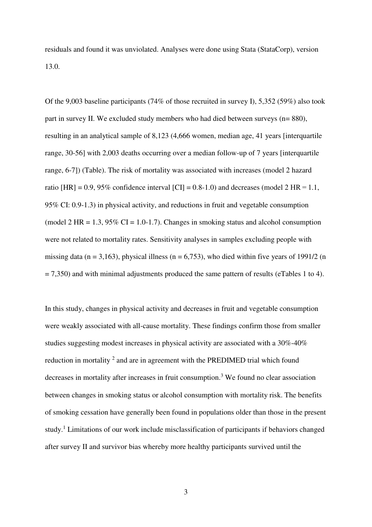residuals and found it was unviolated. Analyses were done using Stata (StataCorp), version 13.0.

Of the 9,003 baseline participants (74% of those recruited in survey I), 5,352 (59%) also took part in survey II. We excluded study members who had died between surveys (n= 880), resulting in an analytical sample of 8,123 (4,666 women, median age, 41 years [interquartile range, 30-56] with 2,003 deaths occurring over a median follow-up of 7 years [interquartile range, 6-7]) (Table). The risk of mortality was associated with increases (model 2 hazard ratio  $[HR] = 0.9, 95\%$  confidence interval  $[CI] = 0.8-1.0$  and decreases (model 2 HR = 1.1, 95% CI: 0.9-1.3) in physical activity, and reductions in fruit and vegetable consumption (model 2 HR = 1.3, 95% CI = 1.0-1.7). Changes in smoking status and alcohol consumption were not related to mortality rates. Sensitivity analyses in samples excluding people with missing data ( $n = 3,163$ ), physical illness ( $n = 6,753$ ), who died within five years of 1991/2 (n  $= 7,350$ ) and with minimal adjustments produced the same pattern of results (eTables 1 to 4).

In this study, changes in physical activity and decreases in fruit and vegetable consumption were weakly associated with all-cause mortality. These findings confirm those from smaller studies suggesting modest increases in physical activity are associated with a 30%-40% reduction in mortality  $2$  and are in agreement with the PREDIMED trial which found decreases in mortality after increases in fruit consumption.<sup>3</sup> We found no clear association between changes in smoking status or alcohol consumption with mortality risk. The benefits of smoking cessation have generally been found in populations older than those in the present study.<sup>1</sup> Limitations of our work include misclassification of participants if behaviors changed after survey II and survivor bias whereby more healthy participants survived until the

3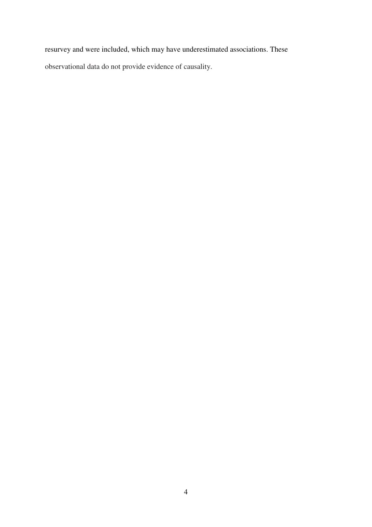resurvey and were included, which may have underestimated associations. These observational data do not provide evidence of causality.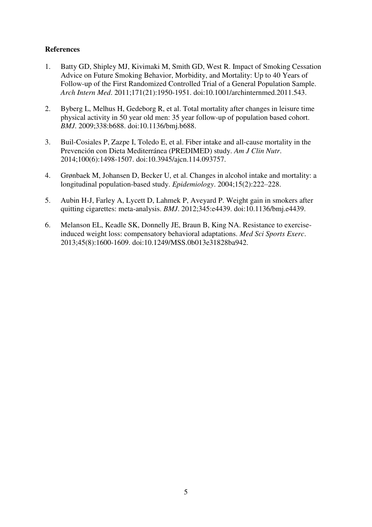## **References**

- 1. Batty GD, Shipley MJ, Kivimaki M, Smith GD, West R. Impact of Smoking Cessation Advice on Future Smoking Behavior, Morbidity, and Mortality: Up to 40 Years of Follow-up of the First Randomized Controlled Trial of a General Population Sample. *Arch Intern Med*. 2011;171(21):1950-1951. doi:10.1001/archinternmed.2011.543.
- 2. Byberg L, Melhus H, Gedeborg R, et al. Total mortality after changes in leisure time physical activity in 50 year old men: 35 year follow-up of population based cohort. *BMJ*. 2009;338:b688. doi:10.1136/bmj.b688.
- 3. Buil-Cosiales P, Zazpe I, Toledo E, et al. Fiber intake and all-cause mortality in the Prevención con Dieta Mediterránea (PREDIMED) study. *Am J Clin Nutr*. 2014;100(6):1498-1507. doi:10.3945/ajcn.114.093757.
- 4. Grønbaek M, Johansen D, Becker U, et al. Changes in alcohol intake and mortality: a longitudinal population-based study. *Epidemiology*. 2004;15(2):222–228.
- 5. Aubin H-J, Farley A, Lycett D, Lahmek P, Aveyard P. Weight gain in smokers after quitting cigarettes: meta-analysis. *BMJ*. 2012;345:e4439. doi:10.1136/bmj.e4439.
- 6. Melanson EL, Keadle SK, Donnelly JE, Braun B, King NA. Resistance to exerciseinduced weight loss: compensatory behavioral adaptations. *Med Sci Sports Exerc*. 2013;45(8):1600-1609. doi:10.1249/MSS.0b013e31828ba942.